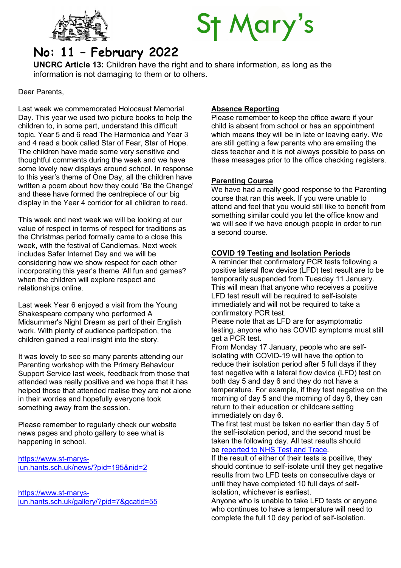



# No: 11 – February 2022

UNCRC Article 13: Children have the right and to share information, as long as the information is not damaging to them or to others.

Dear Parents,

Last week we commemorated Holocaust Memorial Day. This year we used two picture books to help the children to, in some part, understand this difficult topic. Year 5 and 6 read The Harmonica and Year 3 and 4 read a book called Star of Fear, Star of Hope. The children have made some very sensitive and thoughtful comments during the week and we have some lovely new displays around school. In response to this year's theme of One Day, all the children have written a poem about how they could 'Be the Change' and these have formed the centrepiece of our big display in the Year 4 corridor for all children to read.

This week and next week we will be looking at our value of respect in terms of respect for traditions as the Christmas period formally came to a close this week, with the festival of Candlemas. Next week includes Safer Internet Day and we will be considering how we show respect for each other incorporating this year's theme 'All fun and games? when the children will explore respect and relationships online.

Last week Year 6 enjoyed a visit from the Young Shakespeare company who performed A Midsummer's Night Dream as part of their English work. With plenty of audience participation, the children gained a real insight into the story.

It was lovely to see so many parents attending our Parenting workshop with the Primary Behaviour Support Service last week, feedback from those that attended was really positive and we hope that it has helped those that attended realise they are not alone in their worries and hopefully everyone took something away from the session.

Please remember to regularly check our website news pages and photo gallery to see what is happening in school.

https://www.st-marysjun.hants.sch.uk/news/?pid=195&nid=2

https://www.st-marysjun.hants.sch.uk/gallery/?pid=7&gcatid=55

### Absence Reporting

Please remember to keep the office aware if your child is absent from school or has an appointment which means they will be in late or leaving early. We are still getting a few parents who are emailing the class teacher and it is not always possible to pass on these messages prior to the office checking registers.

#### Parenting Course

We have had a really good response to the Parenting course that ran this week. If you were unable to attend and feel that you would still like to benefit from something similar could you let the office know and we will see if we have enough people in order to run a second course.

#### COVID 19 Testing and Isolation Periods

A reminder that confirmatory PCR tests following a positive lateral flow device (LFD) test result are to be temporarily suspended from Tuesday 11 January. This will mean that anyone who receives a positive LFD test result will be required to self-isolate immediately and will not be required to take a confirmatory PCR test.

Please note that as LFD are for asymptomatic testing, anyone who has COVID symptoms must still get a PCR test.

From Monday 17 January, people who are selfisolating with COVID-19 will have the option to reduce their isolation period after 5 full days if they test negative with a lateral flow device (LFD) test on both day 5 and day 6 and they do not have a temperature. For example, if they test negative on the morning of day 5 and the morning of day 6, they can return to their education or childcare setting immediately on day 6.

The first test must be taken no earlier than day 5 of the self-isolation period, and the second must be taken the following day. All test results should be reported to NHS Test and Trace.

If the result of either of their tests is positive, they should continue to self-isolate until they get negative results from two LFD tests on consecutive days or until they have completed 10 full days of selfisolation, whichever is earliest.

Anyone who is unable to take LFD tests or anyone who continues to have a temperature will need to complete the full 10 day period of self-isolation.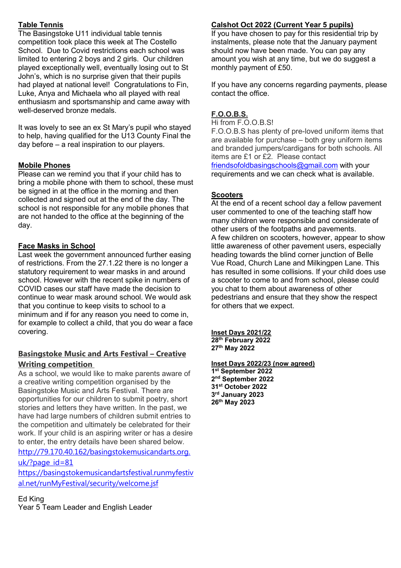# Table Tennis

The Basingstoke U11 individual table tennis competition took place this week at The Costello School. Due to Covid restrictions each school was limited to entering 2 boys and 2 girls. Our children played exceptionally well, eventually losing out to St John's, which is no surprise given that their pupils had played at national level! Congratulations to Fin, Luke, Anya and Michaela who all played with real enthusiasm and sportsmanship and came away with well-deserved bronze medals.

It was lovely to see an ex St Mary's pupil who stayed to help, having qualified for the U13 County Final the day before – a real inspiration to our players.

#### Mobile Phones

Please can we remind you that if your child has to bring a mobile phone with them to school, these must be signed in at the office in the morning and then collected and signed out at the end of the day. The school is not responsible for any mobile phones that are not handed to the office at the beginning of the day.

### Face Masks in School

Last week the government announced further easing of restrictions. From the 27.1.22 there is no longer a statutory requirement to wear masks in and around school. However with the recent spike in numbers of COVID cases our staff have made the decision to continue to wear mask around school. We would ask that you continue to keep visits to school to a minimum and if for any reason you need to come in, for example to collect a child, that you do wear a face covering.

## Basingstoke Music and Arts Festival – Creative Writing competition

As a school, we would like to make parents aware of a creative writing competition organised by the Basingstoke Music and Arts Festival. There are opportunities for our children to submit poetry, short stories and letters they have written. In the past, we have had large numbers of children submit entries to the competition and ultimately be celebrated for their work. If your child is an aspiring writer or has a desire to enter, the entry details have been shared below. http://79.170.40.162/basingstokemusicandarts.org. uk/?page\_id=81

https://basingstokemusicandartsfestival.runmyfestiv al.net/runMyFestival/security/welcome.jsf

Ed King Year 5 Team Leader and English Leader

# Calshot Oct 2022 (Current Year 5 pupils)

If you have chosen to pay for this residential trip by instalments, please note that the January payment should now have been made. You can pay any amount you wish at any time, but we do suggest a monthly payment of £50.

If you have any concerns regarding payments, please contact the office.

# F.O.O.B.S.

Hi from F.O.O.B.S! F.O.O.B.S has plenty of pre-loved uniform items that are available for purchase – both grey uniform items and branded jumpers/cardigans for both schools. All items are £1 or £2. Please contact friendsofoldbasingschools@gmail.com with your requirements and we can check what is available.

### **Scooters**

At the end of a recent school day a fellow pavement user commented to one of the teaching staff how many children were responsible and considerate of other users of the footpaths and pavements. A few children on scooters, however, appear to show little awareness of other pavement users, especially heading towards the blind corner junction of Belle Vue Road, Church Lane and Milkingpen Lane. This has resulted in some collisions. If your child does use a scooter to come to and from school, please could you chat to them about awareness of other pedestrians and ensure that they show the respect for others that we expect.

Inset Days 2021/22 28<sup>th</sup> February 2022 27th May 2022

Inset Days 2022/23 (now agreed) st September 2022 nd September 2022 st October 2022 rd January 2023 th May 2023